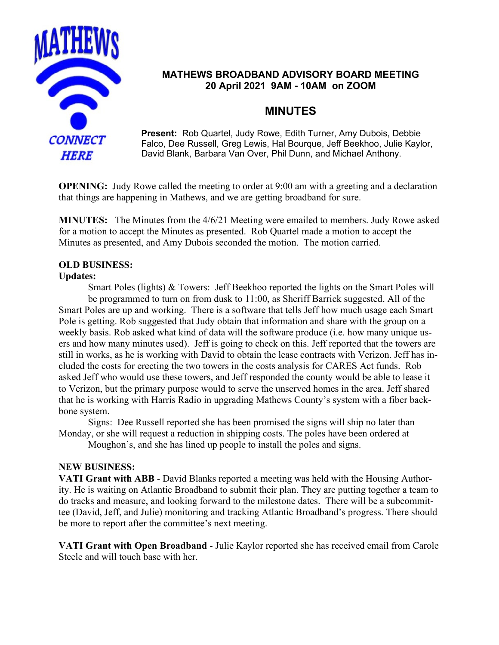

# **MATHEWS BROADBAND ADVISORY BOARD MEETING 20 April 2021 9AM - 10AM on ZOOM**

# **MINUTES**

**Present:** Rob Quartel, Judy Rowe, Edith Turner, Amy Dubois, Debbie Falco, Dee Russell, Greg Lewis, Hal Bourque, Jeff Beekhoo, Julie Kaylor, David Blank, Barbara Van Over, Phil Dunn, and Michael Anthony.

**OPENING:** Judy Rowe called the meeting to order at 9:00 am with a greeting and a declaration that things are happening in Mathews, and we are getting broadband for sure.

**MINUTES:** The Minutes from the 4/6/21 Meeting were emailed to members. Judy Rowe asked for a motion to accept the Minutes as presented. Rob Quartel made a motion to accept the Minutes as presented, and Amy Dubois seconded the motion. The motion carried.

## **OLD BUSINESS:**

#### **Updates:**

Smart Poles (lights) & Towers: Jeff Beekhoo reported the lights on the Smart Poles will be programmed to turn on from dusk to 11:00, as Sheriff Barrick suggested. All of the Smart Poles are up and working. There is a software that tells Jeff how much usage each Smart Pole is getting. Rob suggested that Judy obtain that information and share with the group on a weekly basis. Rob asked what kind of data will the software produce (i.e. how many unique users and how many minutes used). Jeff is going to check on this. Jeff reported that the towers are still in works, as he is working with David to obtain the lease contracts with Verizon. Jeff has included the costs for erecting the two towers in the costs analysis for CARES Act funds. Rob asked Jeff who would use these towers, and Jeff responded the county would be able to lease it to Verizon, but the primary purpose would to serve the unserved homes in the area. Jeff shared that he is working with Harris Radio in upgrading Mathews County's system with a fiber backbone system.

Signs: Dee Russell reported she has been promised the signs will ship no later than Monday, or she will request a reduction in shipping costs. The poles have been ordered at

Moughon's, and she has lined up people to install the poles and signs.

#### **NEW BUSINESS:**

**VATI Grant with ABB** - David Blanks reported a meeting was held with the Housing Authority. He is waiting on Atlantic Broadband to submit their plan. They are putting together a team to do tracks and measure, and looking forward to the milestone dates. There will be a subcommittee (David, Jeff, and Julie) monitoring and tracking Atlantic Broadband's progress. There should be more to report after the committee's next meeting.

**VATI Grant with Open Broadband** - Julie Kaylor reported she has received email from Carole Steele and will touch base with her.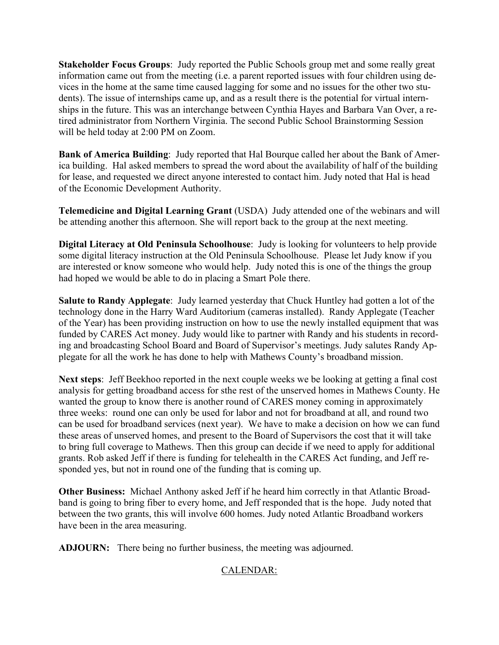**Stakeholder Focus Groups**: Judy reported the Public Schools group met and some really great information came out from the meeting (i.e. a parent reported issues with four children using devices in the home at the same time caused lagging for some and no issues for the other two students). The issue of internships came up, and as a result there is the potential for virtual internships in the future. This was an interchange between Cynthia Hayes and Barbara Van Over, a retired administrator from Northern Virginia. The second Public School Brainstorming Session will be held today at 2:00 PM on Zoom.

**Bank of America Building**: Judy reported that Hal Bourque called her about the Bank of America building. Hal asked members to spread the word about the availability of half of the building for lease, and requested we direct anyone interested to contact him. Judy noted that Hal is head of the Economic Development Authority.

**Telemedicine and Digital Learning Grant** (USDA) Judy attended one of the webinars and will be attending another this afternoon. She will report back to the group at the next meeting.

**Digital Literacy at Old Peninsula Schoolhouse**: Judy is looking for volunteers to help provide some digital literacy instruction at the Old Peninsula Schoolhouse. Please let Judy know if you are interested or know someone who would help. Judy noted this is one of the things the group had hoped we would be able to do in placing a Smart Pole there.

**Salute to Randy Applegate**: Judy learned yesterday that Chuck Huntley had gotten a lot of the technology done in the Harry Ward Auditorium (cameras installed). Randy Applegate (Teacher of the Year) has been providing instruction on how to use the newly installed equipment that was funded by CARES Act money. Judy would like to partner with Randy and his students in recording and broadcasting School Board and Board of Supervisor's meetings. Judy salutes Randy Applegate for all the work he has done to help with Mathews County's broadband mission.

**Next steps**: Jeff Beekhoo reported in the next couple weeks we be looking at getting a final cost analysis for getting broadband access for sthe rest of the unserved homes in Mathews County. He wanted the group to know there is another round of CARES money coming in approximately three weeks: round one can only be used for labor and not for broadband at all, and round two can be used for broadband services (next year). We have to make a decision on how we can fund these areas of unserved homes, and present to the Board of Supervisors the cost that it will take to bring full coverage to Mathews. Then this group can decide if we need to apply for additional grants. Rob asked Jeff if there is funding for telehealth in the CARES Act funding, and Jeff responded yes, but not in round one of the funding that is coming up.

**Other Business:** Michael Anthony asked Jeff if he heard him correctly in that Atlantic Broadband is going to bring fiber to every home, and Jeff responded that is the hope. Judy noted that between the two grants, this will involve 600 homes. Judy noted Atlantic Broadband workers have been in the area measuring.

**ADJOURN:** There being no further business, the meeting was adjourned.

## CALENDAR: